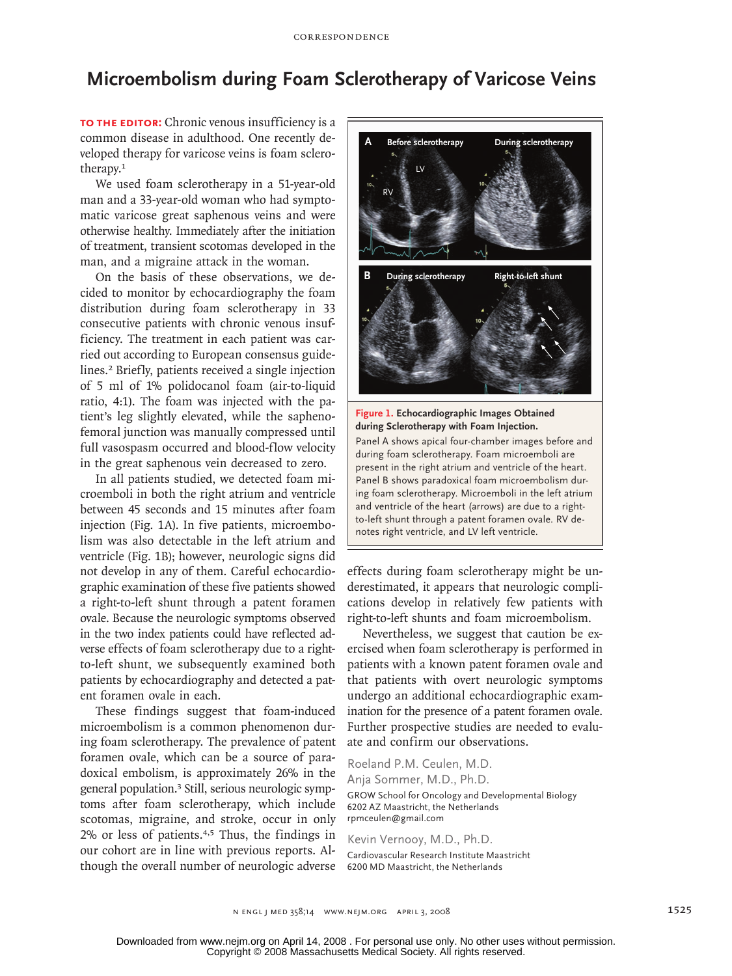## **Microembolism during Foam Sclerotherapy of Varicose Veins**

**To the Editor:** Chronic venous insufficiency is a common disease in adulthood. One recently developed therapy for varicose veins is foam sclerotherapy.<sup>1</sup>

We used foam sclerotherapy in a 51-year-old man and a 33-year-old woman who had symptomatic varicose great saphenous veins and were otherwise healthy. Immediately after the initiation of treatment, transient scotomas developed in the man, and a migraine attack in the woman.

On the basis of these observations, we decided to monitor by echocardiography the foam distribution during foam sclerotherapy in 33 consecutive patients with chronic venous insufficiency. The treatment in each patient was carried out according to European consensus guidelines.2 Briefly, patients received a single injection of 5 ml of 1% polidocanol foam (air-to-liquid ratio, 4:1). The foam was injected with the patient's leg slightly elevated, while the saphenofemoral junction was manually compressed until full vasospasm occurred and blood-flow velocity in the great saphenous vein decreased to zero.

In all patients studied, we detected foam microemboli in both the right atrium and ventricle between 45 seconds and 15 minutes after foam injection (Fig. 1A). In five patients, microembolism was also detectable in the left atrium and ventricle (Fig. 1B); however, neurologic signs did not develop in any of them. Careful echocardiographic examination of these five patients showed a right-to-left shunt through a patent foramen ovale. Because the neurologic symptoms observed in the two index patients could have reflected adverse effects of foam sclerotherapy due to a rightto-left shunt, we subsequently examined both patients by echocardiography and detected a patent foramen ovale in each.

These findings suggest that foam-induced microembolism is a common phenomenon during foam sclerotherapy. The prevalence of patent foramen ovale, which can be a source of paradoxical embolism, is approximately 26% in the general population.3 Still, serious neurologic symptoms after foam sclerotherapy, which include scotomas, migraine, and stroke, occur in only 2% or less of patients.4,5 Thus, the findings in our cohort are in line with previous reports. Although the overall number of neurologic adverse



**during Sclerotherapy with Foam Injection.**

and ventricle of the heart (arrows) are due to a rightauthoris apiel four en annoé mages serore ann adding foam selectionerapy. I can intercembent are<br>present in the right atrium and ventricle of the heart. ing foam sclerotherapy. Microemboli in the left atrium present in the right athum and ventricle of the neart.<br>Panel B shows paradoxical foam microembolism durand remined in the nearly (and they are debt is a night<br>to-left shunt through a patent foramen ovale. RV denotes right ventricle, and LV left ventricle. during foam sclerotherapy. Foam microemboli are Panel A shows apical four-chamber images before and

effects during foam sclerotherapy might be underestimated, it appears that neurologic complications develop in relatively few patients with right-to-left shunts and foam microembolism.

**Please check carefully.**

Nevertheless, we suggest that caution be exercised when foam sclerotherapy is performed in patients with a known patent foramen ovale and that patients with overt neurologic symptoms undergo an additional echocardiographic examination for the presence of a patent foramen ovale. Further prospective studies are needed to evaluate and confirm our observations.

Roeland P.M. Ceulen, M.D. Anja Sommer, M.D., Ph.D. GROW School for Oncology and Developmental Biology 6202 AZ Maastricht, the Netherlands rpmceulen@gmail.com

Kevin Vernooy, M.D., Ph.D.

Cardiovascular Research Institute Maastricht 6200 MD Maastricht, the Netherlands